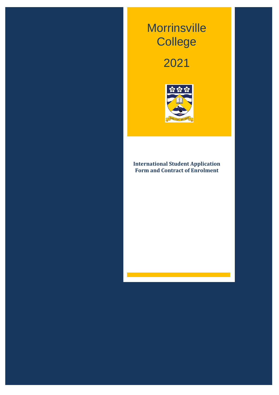# *Working together to achieve a quality education in a caring environment* Morrinsville *Working together to achieve a quality education in a caring environment* **College**

**2021**

**Morrinsville College**

# 2021



### **International Student Application Form and Contract of Enrolment**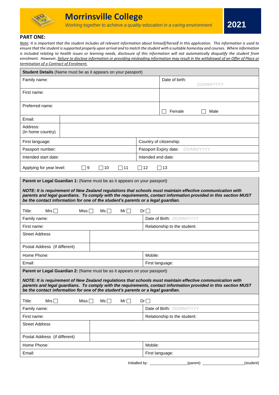

### **PART ONE:**

*Note: It is important that the student includes all relevant information about himself/herself in this application. This information is used to ensure that the student issupported properly upon arrival and to match the student with a suitable homestay and courses. Where information is included relating to health issues or learning needs, disclosure of this information will not automatically disqualify the student from enrolment. However, failure to disclose information or providing misleading information may result in the withdrawal of an Offer of Place or termination of a Contract of Enrolment.*

| Student Details (Name must be as it appears on your passport)                                                                                                                                                                                                                                                                                                                                         |                                  |  |  |  |  |
|-------------------------------------------------------------------------------------------------------------------------------------------------------------------------------------------------------------------------------------------------------------------------------------------------------------------------------------------------------------------------------------------------------|----------------------------------|--|--|--|--|
| Family name:                                                                                                                                                                                                                                                                                                                                                                                          | Date of birth:<br>DD/MM/YYYY     |  |  |  |  |
| First name:                                                                                                                                                                                                                                                                                                                                                                                           |                                  |  |  |  |  |
| Preferred name:                                                                                                                                                                                                                                                                                                                                                                                       | Female<br>Male                   |  |  |  |  |
| Email:                                                                                                                                                                                                                                                                                                                                                                                                |                                  |  |  |  |  |
| Address:<br>(In home country)                                                                                                                                                                                                                                                                                                                                                                         |                                  |  |  |  |  |
| First language:                                                                                                                                                                                                                                                                                                                                                                                       | Country of citizenship:          |  |  |  |  |
| Passport number:                                                                                                                                                                                                                                                                                                                                                                                      | Passport Expiry date: DD/MM/YYYY |  |  |  |  |
| Intended start date:                                                                                                                                                                                                                                                                                                                                                                                  | Intended end date:               |  |  |  |  |
| Applying for year level:<br>$\Box$ 9<br>$\sqcap$ 10<br>$\Box$ 11                                                                                                                                                                                                                                                                                                                                      | 12<br>13<br>$\blacksquare$       |  |  |  |  |
| Parent or Legal Guardian 1: (Name must be as it appears on your passport)<br>NOTE: It is requirement of New Zealand regulations that schools must maintain effective communication with<br>parents and legal guardians. To comply with the requirements, contact information provided in this section MUST<br>be the contact information for one of the student's parents or a legal guardian.        |                                  |  |  |  |  |
| Title:<br>Mrs $\Box$<br>Miss $\square$<br>Ms<br>$Mr\Box$                                                                                                                                                                                                                                                                                                                                              | $Dr \Box$                        |  |  |  |  |
| Family name:                                                                                                                                                                                                                                                                                                                                                                                          | Date of Birth: DD/MM/YYYY        |  |  |  |  |
| First name:                                                                                                                                                                                                                                                                                                                                                                                           | Relationship to the student:     |  |  |  |  |
| <b>Street Address</b>                                                                                                                                                                                                                                                                                                                                                                                 |                                  |  |  |  |  |
| Postal Address (if different)                                                                                                                                                                                                                                                                                                                                                                         |                                  |  |  |  |  |
| Home Phone:                                                                                                                                                                                                                                                                                                                                                                                           | Mobile:                          |  |  |  |  |
| Email:                                                                                                                                                                                                                                                                                                                                                                                                | First language:                  |  |  |  |  |
| <b>Parent or Legal Guardian 2:</b> (Name must be as it appears on your passport)<br>NOTE: It is requirement of New Zealand regulations that schools must maintain effective communication with<br>parents and legal guardians. To comply with the requirements, contact information provided in this section MUST<br>be the contact information for one of the student's parents or a legal guardian. |                                  |  |  |  |  |
| Title:<br>Mrs $\Box$<br>Miss $\Box$<br>$Mr\Box$<br>$Dr \Box$<br>$Ms \Box$                                                                                                                                                                                                                                                                                                                             |                                  |  |  |  |  |
| Family name:                                                                                                                                                                                                                                                                                                                                                                                          | Date of Birth: DD/MM/YYYY        |  |  |  |  |
| First name:<br>Relationship to the student:                                                                                                                                                                                                                                                                                                                                                           |                                  |  |  |  |  |
| <b>Street Address</b>                                                                                                                                                                                                                                                                                                                                                                                 |                                  |  |  |  |  |
| Postal Address (if different)                                                                                                                                                                                                                                                                                                                                                                         |                                  |  |  |  |  |
| Home Phone:                                                                                                                                                                                                                                                                                                                                                                                           | Mobile:                          |  |  |  |  |
| Email:                                                                                                                                                                                                                                                                                                                                                                                                | First language:                  |  |  |  |  |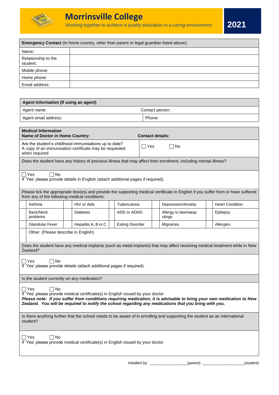

| Emergency Contact (In home country, other than parent or legal guardian listed above):                                                   |                                                                         |                     |                                                                                                                  |                                                                                                                                   |  |  |
|------------------------------------------------------------------------------------------------------------------------------------------|-------------------------------------------------------------------------|---------------------|------------------------------------------------------------------------------------------------------------------|-----------------------------------------------------------------------------------------------------------------------------------|--|--|
| Name:                                                                                                                                    |                                                                         |                     |                                                                                                                  |                                                                                                                                   |  |  |
| Relationship to the<br>student:                                                                                                          |                                                                         |                     |                                                                                                                  |                                                                                                                                   |  |  |
| Mobile phone:                                                                                                                            |                                                                         |                     |                                                                                                                  |                                                                                                                                   |  |  |
| Home phone:                                                                                                                              |                                                                         |                     |                                                                                                                  |                                                                                                                                   |  |  |
| Email address:                                                                                                                           |                                                                         |                     |                                                                                                                  |                                                                                                                                   |  |  |
|                                                                                                                                          |                                                                         |                     |                                                                                                                  |                                                                                                                                   |  |  |
| Agent Information (If using an agent)                                                                                                    |                                                                         |                     |                                                                                                                  |                                                                                                                                   |  |  |
| Agent name:                                                                                                                              |                                                                         |                     | Contact person:                                                                                                  |                                                                                                                                   |  |  |
| Agent email address:                                                                                                                     |                                                                         |                     | Phone:                                                                                                           |                                                                                                                                   |  |  |
|                                                                                                                                          |                                                                         |                     |                                                                                                                  |                                                                                                                                   |  |  |
| <b>Medical Information</b><br>Name of Doctor in Home Country:                                                                            |                                                                         |                     | <b>Contact details:</b>                                                                                          |                                                                                                                                   |  |  |
| Are the student's childhood immunisations up to date?<br>A copy of an immunisation certificate may be requested<br>when required         |                                                                         | $\sqcap$ Yes        | $\sqcap$ No                                                                                                      |                                                                                                                                   |  |  |
|                                                                                                                                          |                                                                         |                     | Does the student have any history of previous illness that may affect their enrolment, including mental illness? |                                                                                                                                   |  |  |
| 7 No<br>∏Yes<br>If 'Yes' please provide details in English (attach additional pages if required).                                        |                                                                         |                     |                                                                                                                  |                                                                                                                                   |  |  |
| from any of the following medical conditions:                                                                                            |                                                                         |                     |                                                                                                                  | Please tick the appropriate box(es) and provide the supporting medical certificate in English if you suffer from or have suffered |  |  |
| Asthma                                                                                                                                   | <b>HIV or Aids</b>                                                      | <b>Tuberculosis</b> | Depression/Anxiety                                                                                               | <b>Heart Condition</b>                                                                                                            |  |  |
| Back/Neck<br>problems                                                                                                                    | <b>Diabetes</b>                                                         | ADD or ADHD         | Allergy to bee/wasp<br>stings                                                                                    | Epilepsy                                                                                                                          |  |  |
| <b>Glandular Fever</b>                                                                                                                   | Hepatitis A, B or C<br><b>Eating Disorder</b><br>Migraines<br>Allergies |                     |                                                                                                                  |                                                                                                                                   |  |  |
| Other: (Please describe in English)                                                                                                      |                                                                         |                     |                                                                                                                  |                                                                                                                                   |  |  |
| Does the student have any medical implants (such as metal implants) that may affect receiving medical treatment while in New<br>Zealand? |                                                                         |                     |                                                                                                                  |                                                                                                                                   |  |  |
| Yes<br>No.<br>If 'Yes' please provide details (attach additional pages if required).                                                     |                                                                         |                     |                                                                                                                  |                                                                                                                                   |  |  |

Is the student currently on any medication?

 $\Box$  Yes  $\Box$  No

If 'Yes' please provide medical certificate(s) in English issued by your doctor

*Please note: If you suffer from conditions requiring medication, it is advisable to bring your own medication to New Zealand. You will be required to notify the school regarding any medications that you bring with you.*

Is there anything further that the school needs to be aware of in enrolling and supporting the student as an international student?

 $\Box$  Yes  $\Box$  No

If 'Yes' please provide medical certificate(s) in English issued by your doctor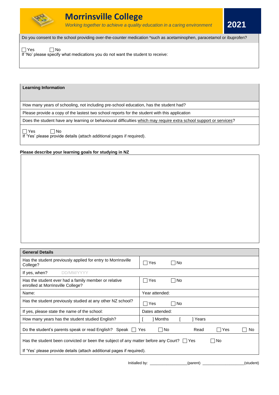

**2021**

Do you consent to the school providing over-the-counter medication \*such as acetaminophen, paracetamol or ibuprofen?

 $\Box$  Yes  $\Box$  No

If 'No' please specify what medications you do not want the student to receive:

### **Learning Information**

How many years of schooling, not including pre-school education, has the student had?

Please provide a copy of the lastest two school reports for the student with this application

Does the student have any learning or behavioural difficulties which may require extra school support or services?

 $\Box$  Yes  $\Box$  No

If 'Yes' please provide details (attach additional pages if required).

### **Please describe your learning goals for studying in NZ**

| <b>General Details</b> |  |
|------------------------|--|
|                        |  |

| <b>General Details</b>                                                                        |                                   |
|-----------------------------------------------------------------------------------------------|-----------------------------------|
| Has the student previously applied for entry to Morrinsville<br>College?                      | No<br>Yes                         |
| If yes, when?<br><b>DD/MM/YYYY</b>                                                            |                                   |
| Has the student ever had a family member or relative<br>enrolled at Morrinsville College?     | No<br>$\sqcap$ Yes                |
| Name:                                                                                         | Year attended:                    |
| Has the student previously studied at any other NZ school?                                    | ∏ Yes<br>  No                     |
| If yes, please state the name of the school:                                                  | Dates attended:                   |
| How many years has the student studied English?                                               | Months<br>  Years                 |
| Do the student's parents speak or read English? Speak □                                       | No<br>∃Yes<br>Read<br>No<br>∣ Yes |
| Has the student been convicted or been the subject of any matter before any Court? $\Box$ Yes | No                                |
| If 'Yes' please provide details (attach additional pages if required).                        |                                   |
| Initialled by:                                                                                | (student)<br>(parent)             |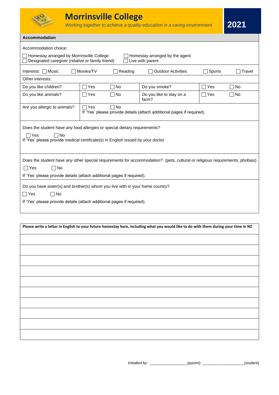

### **Accommodation**

| Accommodation choice:<br>Homestay arranged by Morrinsville College<br>Homestay arranged by the agent                                                                                                                                                                                                                                         |            |           |                                                                        |              |    |  |  |
|----------------------------------------------------------------------------------------------------------------------------------------------------------------------------------------------------------------------------------------------------------------------------------------------------------------------------------------------|------------|-----------|------------------------------------------------------------------------|--------------|----|--|--|
| Designated caregiver (relative or family friend)<br>Live with parent                                                                                                                                                                                                                                                                         |            |           |                                                                        |              |    |  |  |
| Interests: $\Box$ Music<br>Movies/TV<br>Reading<br>Outdoor Activities<br>$\Box$ Sports<br>Travel                                                                                                                                                                                                                                             |            |           |                                                                        |              |    |  |  |
| Other interests:                                                                                                                                                                                                                                                                                                                             |            |           |                                                                        |              |    |  |  |
| Do you like children?                                                                                                                                                                                                                                                                                                                        | ⊺Yes       | $\Box$ No | Do you smoke?                                                          | $\sqcap$ Yes | No |  |  |
| Do you like animals?                                                                                                                                                                                                                                                                                                                         | ] Yes      | ∐ No      | Do you like to stay on a<br>farm?                                      | $\Box$ Yes   | No |  |  |
| Are you allergic to animals?                                                                                                                                                                                                                                                                                                                 | $\Box$ Yes | ΠNo       | If 'Yes' please provide details (attach additional pages if required). |              |    |  |  |
| Does the student have any food allergies or special dietary requirements?                                                                                                                                                                                                                                                                    |            |           |                                                                        |              |    |  |  |
| ∏No<br>∏Yes<br>If 'Yes' please provide medical certificate(s) in English issued by your doctor                                                                                                                                                                                                                                               |            |           |                                                                        |              |    |  |  |
| Does the student have any other special requirements for accommodation? (pets, cultural or religious requirements, phobias)<br>$\Box$ Yes<br>$\Box$ No<br>If 'Yes' please provide details (attach additional pages if required).<br>Do you have sister(s) and brother(s) whom you live with in your home country?<br>$\Box$ Yes<br>$\Box$ No |            |           |                                                                        |              |    |  |  |
| If 'Yes' please provide details (attach additional pages if required).                                                                                                                                                                                                                                                                       |            |           |                                                                        |              |    |  |  |
|                                                                                                                                                                                                                                                                                                                                              |            |           |                                                                        |              |    |  |  |
| Please write a letter in English to your future homestay here, including what you would like to do with them during your time in NZ                                                                                                                                                                                                          |            |           |                                                                        |              |    |  |  |
|                                                                                                                                                                                                                                                                                                                                              |            |           |                                                                        |              |    |  |  |
|                                                                                                                                                                                                                                                                                                                                              |            |           |                                                                        |              |    |  |  |
|                                                                                                                                                                                                                                                                                                                                              |            |           |                                                                        |              |    |  |  |
|                                                                                                                                                                                                                                                                                                                                              |            |           |                                                                        |              |    |  |  |
|                                                                                                                                                                                                                                                                                                                                              |            |           |                                                                        |              |    |  |  |
|                                                                                                                                                                                                                                                                                                                                              |            |           |                                                                        |              |    |  |  |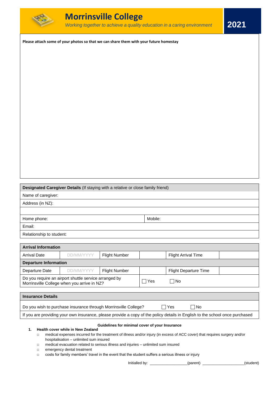

**Please attach some of your photos so that we can share them with your future homestay**

**Designated Caregiver Details** (If staying with a relative or close family friend)

| Name of caregiver:       |         |
|--------------------------|---------|
| Address (in NZ):         |         |
|                          |         |
| Home phone:              | Mobile: |
| Email:                   |         |
| Relationship to student: |         |

| <b>Arrival Information</b>                                                                           |            |               |       |                              |  |  |  |  |
|------------------------------------------------------------------------------------------------------|------------|---------------|-------|------------------------------|--|--|--|--|
| <b>Arrival Date</b>                                                                                  | DD/MM/YYYY | Flight Number |       | <b>Flight Arrival Time</b>   |  |  |  |  |
| <b>Departure Information</b>                                                                         |            |               |       |                              |  |  |  |  |
| Departure Date                                                                                       | DD/MM/YYYY | Flight Number |       | <b>Flight Departure Time</b> |  |  |  |  |
| Do you require an airport shuttle service arranged by<br>Morrinsville College when you arrive in NZ? |            |               | 7 Yes | $\Box$ No                    |  |  |  |  |

| <b>Insurance Details</b>                                                                                                     |       |      |  |
|------------------------------------------------------------------------------------------------------------------------------|-------|------|--|
| Do you wish to purchase insurance through Morrinsville College?                                                              | □ Yes | 1 No |  |
| If you are providing your own insurance, please provide a copy of the policy details in English to the school once purchased |       |      |  |

### **Guidelines for minimal cover of your Insurance**

#### **1. Health cover while in New Zealand**

- □ medical expenses incurred for the treatment of illness and/or injury (in excess of ACC cover) that requires surgery and/or hospitalisation – unlimited sum insured
- □ medical evacuation related to serious illness and injuries unlimited sum insured
- □ emergency dental treatment

□ costs for family members' travel in the event that the student suffers a serious illness or injury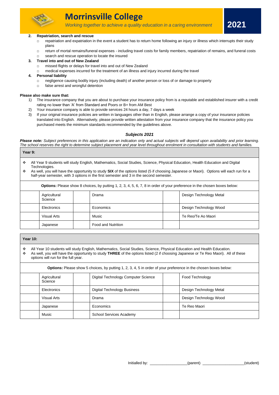

# **Morrinsville College**

*Working together to achieve a quality education in a caring environment*

#### **2. Repatriation, search and rescue**

- $\Box$  repatriation and expatriation in the event a student has to return home following an injury or illness which interrupts their study plans
- □ return of mortal remains/funeral expenses including travel costs for family members, repatriation of remains, and funeral costs
- □ search and rescue operation to locate the insured

#### **3. Travel into and out of New Zealand**

- □ missed flights or delays for travel into and out of New Zealand
- $\Box$  medical expenses incurred for the treatment of an illness and injury incurred during the travel

#### **4. Personal liability**

- □ negligence causing bodily injury (including death) of another person or loss of or damage to property
- □ false arrest and wrongful detention

#### **Please also make sure that:**

- 1) The insurance company that you are about to purchase your insurance policy from is a reputable and established insurer with a credit rating no lower than 'A' from Standard and Poors or B+ from AM Best
- 2) Your insurance company is able to provide services 24 hours a day, 7 days a week
- 3) If your original insurance policies are written in languages other than in English, please arrange a copy of your insurance policies translated into English. Alternatively, please provide written attestation from your insurance company that the insurance policy you purchased meets the minimum standards recommended by the guidelines above.

#### *Subjects 2021*

Please note: Subject preferences in this application are an indication only and actual subjects will depend upon availability and prior learning. *The school reserves the right to determine subject placement and year level throughout enrolment in consultation with students and families.* 

#### **Year 9:**

- ❖ All Year 9 students will study English, Mathematics, Social Studies, Science, Physical Education, Health Education and Digital Technologies.
- ❖ As well, you will have the opportunity to study **SIX** of the options listed (5 if choosing Japanese or Maori). Options will each run for a half-year semester, with 3 options in the first semester and 3 in the second semester.

| <b>Options:</b> Please show 8 choices, by putting 1, 2, 3, 4, 5, 6, 7, 8 in order of your preference in the chosen boxes below: |                         |                    |  |                        |  |  |  |
|---------------------------------------------------------------------------------------------------------------------------------|-------------------------|--------------------|--|------------------------|--|--|--|
| Agricultural<br>Science                                                                                                         | Design Technology Metal |                    |  |                        |  |  |  |
| Electronics                                                                                                                     |                         | Economics          |  | Design Technology Wood |  |  |  |
| Visual Arts                                                                                                                     |                         | Music              |  | Te Reo/Te Ao Maori     |  |  |  |
| Japanese                                                                                                                        |                         | Food and Nutrition |  |                        |  |  |  |

| Year $10$ :                                                                       |                                                                                                                                                                                                                                                                                                      |       |  |                                                                                                                        |  |  |  |  |  |
|-----------------------------------------------------------------------------------|------------------------------------------------------------------------------------------------------------------------------------------------------------------------------------------------------------------------------------------------------------------------------------------------------|-------|--|------------------------------------------------------------------------------------------------------------------------|--|--|--|--|--|
| ❖<br>٠                                                                            | All Year 10 students will study English, Mathematics, Social Studies, Science, Physical Education and Health Education.<br>As well, you will have the opportunity to study THREE of the options listed (2 if choosing Japanese or Te Reo Maori). All of these<br>options will run for the full year. |       |  |                                                                                                                        |  |  |  |  |  |
|                                                                                   |                                                                                                                                                                                                                                                                                                      |       |  | <b>Options:</b> Please show 5 choices, by putting 1, 2, 3, 4, 5 in order of your preference in the chosen boxes below: |  |  |  |  |  |
| Digital Technology Computer Science<br>Agricultural<br>Food Technology<br>Science |                                                                                                                                                                                                                                                                                                      |       |  |                                                                                                                        |  |  |  |  |  |
| Electronics<br>Digital Technology Business<br>Design Technology Metal             |                                                                                                                                                                                                                                                                                                      |       |  |                                                                                                                        |  |  |  |  |  |
|                                                                                   | <b>Visual Arts</b><br>Design Technology Wood<br>Drama                                                                                                                                                                                                                                                |       |  |                                                                                                                        |  |  |  |  |  |
|                                                                                   | Economics<br>Te Reo Maori<br>Japanese                                                                                                                                                                                                                                                                |       |  |                                                                                                                        |  |  |  |  |  |
|                                                                                   |                                                                                                                                                                                                                                                                                                      | Music |  | <b>School Services Academy</b>                                                                                         |  |  |  |  |  |

**2021**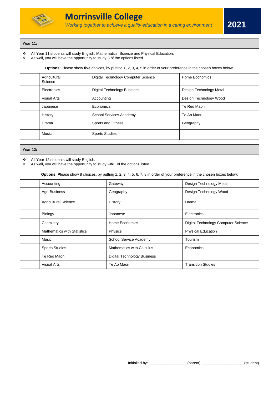

### **Year 11:**

- ❖ All Year 11 students will study English, Mathematics, Science and Physical Education.
- As well, you will have the opportunity to study 3 of the options listed.

| <b>Options:</b> Please show five choices, by putting 1, 2, 3, 4, 5 in order of your preference in the chosen boxes below. |                         |                                     |  |                         |  |  |  |
|---------------------------------------------------------------------------------------------------------------------------|-------------------------|-------------------------------------|--|-------------------------|--|--|--|
|                                                                                                                           | Agricultural<br>Science | Digital Technology Computer Science |  |                         |  |  |  |
|                                                                                                                           | Electronics             | <b>Digital Technology Business</b>  |  | Design Technology Metal |  |  |  |
|                                                                                                                           | Visual Arts             | Accounting                          |  | Design Technology Wood  |  |  |  |
|                                                                                                                           | Japanese                | Economics                           |  | Te Reo Maori            |  |  |  |
|                                                                                                                           | History                 | School Services Academy             |  | Te Ao Maori             |  |  |  |
|                                                                                                                           | Drama                   | Sports and Fitness                  |  | Geography               |  |  |  |
|                                                                                                                           | Music                   | <b>Sports Studies</b>               |  |                         |  |  |  |

| <b>Year 12:</b> |                                                                                                                         |  |                                                                                                                          |  |                                     |  |  |  |
|-----------------|-------------------------------------------------------------------------------------------------------------------------|--|--------------------------------------------------------------------------------------------------------------------------|--|-------------------------------------|--|--|--|
| ٠<br>❖          | All Year 12 students will study English.<br>As well, you will have the opportunity to study FIVE of the options listed. |  |                                                                                                                          |  |                                     |  |  |  |
|                 |                                                                                                                         |  | Options: Please show 8 choices, by putting 1, 2, 3, 4, 5, 6, 7, 8 in order of your preference in the chosen boxes below: |  |                                     |  |  |  |
|                 | Accounting                                                                                                              |  | Gateway                                                                                                                  |  | Design Technology Metal             |  |  |  |
|                 | Agri-Business                                                                                                           |  | Geography                                                                                                                |  | Design Technology Wood              |  |  |  |
|                 | <b>Agricultural Science</b>                                                                                             |  | History                                                                                                                  |  | Drama                               |  |  |  |
|                 | Biology                                                                                                                 |  | Japanese                                                                                                                 |  | Electronics                         |  |  |  |
|                 | Chemistry                                                                                                               |  | Home Economics                                                                                                           |  | Digital Technology Computer Science |  |  |  |
|                 | <b>Mathematics with Statistics</b>                                                                                      |  | Physics                                                                                                                  |  | <b>Physical Education</b>           |  |  |  |
|                 | Music                                                                                                                   |  | School Service Academy                                                                                                   |  | Tourism                             |  |  |  |
|                 | <b>Sports Studies</b>                                                                                                   |  | <b>Mathematics with Calculus</b>                                                                                         |  | Economics                           |  |  |  |
|                 | Te Reo Maori                                                                                                            |  | Digital Technology Business                                                                                              |  |                                     |  |  |  |
|                 | <b>Visual Arts</b>                                                                                                      |  | Te Ao Maori                                                                                                              |  | <b>Transition Studies</b>           |  |  |  |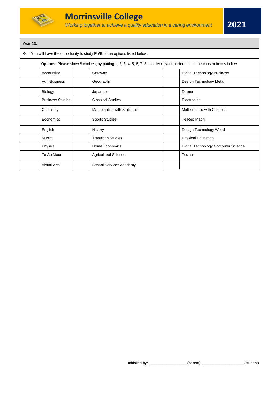

### **Year 13:**

❖ You will have the opportunity to study **FIVE** of the options listed below:

| Options: Please show 8 choices, by putting 1, 2, 3, 4, 5, 6, 7, 8 in order of your preference in the chosen boxes below: |                                    |                                     |  |
|--------------------------------------------------------------------------------------------------------------------------|------------------------------------|-------------------------------------|--|
| Accounting                                                                                                               | Gateway                            | <b>Digital Technology Business</b>  |  |
| Agri-Business                                                                                                            | Geography                          | Design Technology Metal             |  |
| Biology                                                                                                                  | Japanese                           | Drama                               |  |
| <b>Business Studies</b>                                                                                                  | <b>Classical Studies</b>           | Electronics                         |  |
| Chemistry                                                                                                                | <b>Mathematics with Statistics</b> | <b>Mathematics with Calculus</b>    |  |
| Economics                                                                                                                | <b>Sports Studies</b>              | Te Reo Maori                        |  |
| English                                                                                                                  | History                            | Design Technology Wood              |  |
| Music                                                                                                                    | <b>Transition Studies</b>          | <b>Physical Education</b>           |  |
| Physics                                                                                                                  | Home Economics                     | Digital Technology Computer Science |  |
| Te Ao Maori                                                                                                              | <b>Agricultural Science</b>        | Tourism                             |  |
| <b>Visual Arts</b>                                                                                                       | <b>School Services Academy</b>     |                                     |  |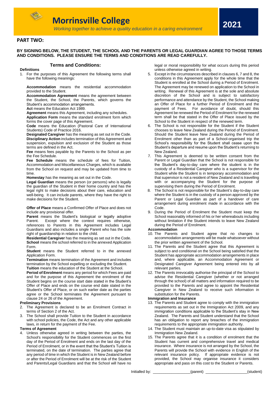

### **PART TWO:**

### *Working together to achieve a quality education in a caring environment* **BY SIGNING BELOW, THE STUDENT, THE SCHOOL AND THE PARENTS OR LEGAL GUARDIAN AGREE TO THOSE TERMS AND CONDITIONS. PLEASE ENSURE THE TERMS AND CONDITIONS ARE READ CAREFULLY.**

### **Terms and Conditions:**

**Definitions** 1. For the purposes of this Agreement the following terms shall have the following meanings:

**Accommodation** means the residential accommodation provided to the Student.

**Accommodation Agreement** means the agreement between the Student, the School, the Parents, which governs the Student's accommodation arrangements.

**Act** means the Education Act 1989.

**Agreement** means this Agreement, including any schedules. **Application Form** means the standard enrolment form which forms the cover page of this Agreement.

**Code** means the Education (Pastoral Care of International Students) Code of Practice 2016.

**Designated Caregiver** has the meaning as set out in the Code. **Disciplinary Action** includes termination of this Agreement and suspension, expulsion and exclusion of the Student as those terms are defined in the Act.

**Fee** means fees payable by the Parents to the School as per the Fee Schedule.

**Fee Schedule** means the schedule of fees for Tuition, Accommodation and Miscellaneous Charges, which is available from the School on request and may be updated from time to time.

**Homestay** has the meaning as set out in the Code.

**Legal Guardian** means the person (or persons) who is legally the guardian of the Student in their home country and has the legal right to make decisions about their care, education and well-being. It can include parents, where they have the right to make decisions for the Student.

**Offer of Place** means a Confirmed Offer of Place and does not include any provisional offer.

Parent means the Student's biological or legally adoptive Parent. Except where the context requires otherwise, references to Parents in this Agreement includes Legal Guardians and also includes a single Parent who has the sole right of guardianship in relation to the child.

**Residential Caregiver** has the meaning as set out in the Code. **School** means the school referred to in the annexed Application Form.

**Student** means the Student referred to in the annexed Application Form.

**Termination** means termination of the Agreement and includes termination by the School expelling or excluding the Student. **Tuition** means the education of the Student at the School.

**Period of Enrolment** means any period for which Fees are paid and for the purpose of this Agreement the enrolment of the Student begins on the course start date stated in the Student's Offer of Place and ends on the course end date stated in the Student's Offer of Place, or on such earlier date as the parties agree or the School terminates the Agreement pursuant to clause 24 or 26 of the Agreement.

#### **Preliminary Provisions**

- 2. The Agreement is declared to be an Enrolment Contract in terms of Section 2 of the Act.
- The School shall provide Tuition to the Student in accordance with school policies, the Code, the Act and any other applicable laws, in return for the payment of the Fee.

#### **Terms of Agreement**

4. Unless otherwise agreed in writing between the parties, the School's responsibility for the Student commences on the first day of the Period of Enrolment and ends on the last day of the Period of Enrolment, or in the event that the Student's Tuition is terminated, on the date of termination. The parties agree that any period of time in which the Student is in New Zealand before or after the Period of Enrolment will be at the risk of the Student and Parents/Legal Guardians and that the School will have no

legal or moral responsibility for what occurs during this period unless otherwise agreed in writing.

**2021**

- 5. Except in the circumstances described in clauses 6, 7 and 8, the conditions in this Agreement apply for the whole time that the Student is enrolled at the School during a Period of Enrolment. The Agreement may be renewed on application to the School in writing. Renewal of this Agreement is at the sole and absolute discretion of the School and is subject to satisfactory performance and attendance by the Student, the School making an Offer of Place for a further Period of Enrolment and the payment of Fees. For avoidance of doubt, should this Agreement be renewed the Period of Enrolment for the renewed term shall be that stated in the Offer of Place issued by the School to the Student in respect of the renewed term.
- The School is not responsible for the Student if the Student chooses to leave New Zealand during the Period of Enrolment. Should the Student leave New Zealand during the Period of Enrolment other than as part of a School-organised trip the School's responsibility for the Student shall cease upon the Student's departure and resume upon the Student's returning to New Zealand.
- 7. This Agreement is deemed to be written consent from the Parent or Legal Guardian that the School is not responsible for the Student's day-to-day care where the student is in the custody of a Residential Caregiver who is a supervisor for the Student while the Student is in temporary accommodation and that supervisor is not a resident of New Zealand and is travelling with or accompanying the Student for the purpose of supervising them during the Period of Enrolment.
- The School is not responsible for the Student's day-to-day care where the Student is in the custody of a person approved by the Parent or Legal Guardian as part of a handover of care arrangement during enrolment made in accordance with the Code.
- 9. During the Period of Enrolment the Student must keep the School reasonably informed of his or her whereabouts including without limitation if the Student intends to leave New Zealand during the Period of Enrolment.

### **Accommodation**

- 10. The Parents and Student agree that no changes to accommodation arrangements will be made whatsoever without the prior written agreement of the School.
- 11. The Parents and the Student agree that this Agreement is subject to and conditional on the School being satisfied that the Student has appropriate accommodation arrangements in place and, where applicable, an Accommodation Agreement or Designated Caregiver Agreement being entered into by all relevant parties.
- 12. The Parents irrevocably authorise the principal of the School to advise the Residential Caregiver (whether or not arranged through the school) of all matters and information required to be provided to the Parents and agree to appoint the Residential Caregiver in New Zealand to receive such information in substitution for the Parents.

#### **Immigration and Insurance**

- 13. The Parents and Student agree to comply with the immigration requirements as set out in the Immigration Act 2009, and any immigration conditions applicable to the Student's stay in New Zealand. The Parents and Student understand that the School has an obligation to report any breaches of the immigration requirements to the appropriate immigration authority.
- 14. The Student must maintain an up-to-date visa as stipulated by Immigration New Zealand.
- 15. The Parents agree that it is a condition of enrolment that the Student has current and comprehensive travel and medical insurance. Where insurance is not arranged by the School, the Parents will provide the School with evidence in English of the relevant insurance policy. If appropriate evidence is not provided, the School may organise insurance it considers appropriate and pass on this cost to the Student or Parents.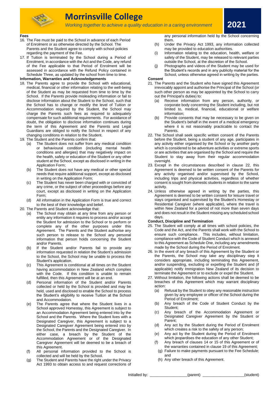

# **Morrinsville College**

*Working together to achieve a quality education in a caring environment*

#### **Fees**

- 16. The Fee must be paid to the School in advance of each Period of Enrolment or as otherwise directed by the School. The Parents and the Student agree to comply with school policies regarding the payment of the Fee.
- 17. If Tuition is terminated by the School during a Period of Enrolment, in accordance with the Act and the Code, any refund of the Fee applicable to that Period of Enrolment will be assessed in accordance with the Refund Policy contained in Schedule Three, as updated by the school from time to time.

#### **Information, Warranties and Acknowledgements**

- 18. The Parents agree to provide the School with educational, medical, financial or other information relating to the well-being of the Student as may be requested from time to time by the School. If the Parents provide misleading information or fail to disclose information about the Student to the School, such that the School has to change or modify the level of Tuition or Accommodation required by the Student, the School may charge the Parents such fees as required to adequately compensate for such additional requirements. For avoidance of doubt, the obligation to disclose information continues during the term of this Agreement and the Parents and Legal Guardians are obliged to notify the School in respect of any changing conditions in relation to the Student.
- 19. The Student and the Parents confirm that:
	- (a) The Student does not suffer from any medical condition or behavioural condition (including mental health conditions and allergies) that may negatively impact on the health, safety or education of the Student or any other student at the School, except as disclosed in writing in the Application Form;
	- (b) The Student does not have any medical or other special needs that require additional support, except as disclosed in writing on the Application Form;
	- (c) The Student has never been charged with or convicted of any crime, or the subject of other proceedings before any court, except as disclosed in writing on the Application Form;
	- (d) All information in the Application Form is true and correct to the best of their knowledge and belief.
- 20. The Parents and Student acknowledge that:
	- (a) The School may obtain at any time from any person or entity any information it requires to process and/or accept the Student for admission to the School or to perform or complete any of the other purposes under this Agreement. The Parents and the Student authorise any such person to release to the School any personal information that person holds concerning the Student and/or Parents.
	- (b) If the Student and/or Parents fail to provide any information requested in relation the Student's admission to the School, the School may be unable to process the Student's application.
	- (c) This Agreement is conditional at all times on the Student having accommodation in New Zealand which complies with the Code. If this condition is unable to remain fulfilled, then this Agreement will be at an end.
	- (d) Personal information of the Student and/or Parents collected or held by the School is provided and may be held, used and disclosed to enable the School to process the Student's eligibility to receive Tuition at the School and Accommodation.
	- (e) The Parents agree that where the Student lives in a School approved Homestay, this Agreement is subject to an Accommodation Agreement being entered into by the School and the Parents. Where the Student lives with a Designated Caregiver, this Agreement is subject to a Designated Caregiver Agreement being entered into by the School, the Parents and the Designated Caregiver. In either case, a breach by the Student of the Accommodation Agreement or of the Designated Caregiver Agreement will be deemed to be a breach of this Agreement.
	- (f) All personal information provided to the School is collected and will be held by the School.
	- (g) The Student and Parents have the right under the Privacy Act 1993 to obtain access to and request corrections of

any personal information held by the School concerning them.

- (h) Under the Privacy Act 1993, any information collected may be provided to education authorities.
- (i) Information relating to the education, health, welfare or safety of the Student, may be released to relevant parties outside the School, at the discretion of the School.
- (j) Photographs and videos of the Student may be used for the Student's records and in any publicity material for the School, unless otherwise agreed in writing by the parties.

#### **Consent**

- 21. The Parents and the Student who have signed this Agreement irrevocably appoint and authorise the Principal of the School (or such other person as may be appointed by the School to carry out the Principal's duties) to:
	- (a) Receive information from any person, authority, or corporate body concerning the Student including, but not limited to, medical, financial, educational or welfare information;
	- (b) Provide consents that may be necessary to be given on the Student's behalf in the event of a medical emergency where it is not reasonably practicable to contact the Parents.
- 22. The School shall seek specific written consent of the Parents before the Student, being a student of any age, participates in any activity either organised by the School or by another party which is considered to be adventure activities or extreme sports or are activities that are organised by the School and require the Student to stay away from their regular accommodation overnight.
- 23. Except in the circumstances described in clause 22, this Agreement is deemed to be written consent of the Parents for any activity organised and/or supervised by the School, including trips and physical activities, regardless of whether consent is sought from domestic students in relation to the same activity.
- 24. Unless otherwise agreed in writing by the parties, this Agreement is deemed to be written consent for leisure travel or stays organised and supervised by the Student's Homestay or Residential Caregiver (where applicable), where the travel is within New Zealand for a period of not more than seven days and does not result in the Student missing any scheduled school days.

#### **Conduct, Discipline and Termination**

- 25. The Student will comply at all times with school policies, the Code and the Act, and the Parents shall work with the School to ensure such compliance. This includes, without limitation, compliance with the Code of Student Conduct which is annexed to this Agreement as Schedule One, including any amendments made by the School during the Period of Enrolment.
- 26. In the event of any breach of this Agreement by the Student or the Parents, the School may take any disciplinary step it considers appropriate, including terminating this Agreement, and/or suspending, excluding or expelling the Student and (if applicable) notify Immigration New Zealand of its decision to terminate the Agreement or to exclude or expel the Student.
- 27. Without limitation, the following actions shall be deemed to be breaches of this Agreement which may warrant disciplinary action:
	- (a) Refusal by the Student to obey any reasonable instruction given by any employee or officer of the School during the Period of Enrolment;
	- (b) Any breach of the Code of Student Conduct by the Student;
	- (c) Any breach of the Accommodation Agreement or Designated Caregiver Agreement by the Student or Parent;
	- (d) Any act by the Student during the Period of Enrolment which creates a risk to the safety of any person;
	- (e) Any act by the Student during the Period of Enrolment which jeopardises the education of any other Student;
	- (f) Any breach of clauses 14 or 15 of this Agreement or of the warranties contained in clause 19 of this Agreement;
	- (g) Failure to make payments pursuant to the Fee Schedule; and
	- (h) Any other breach of this Agreement.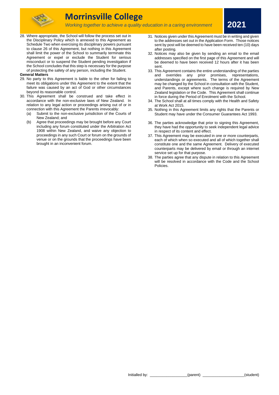

## **Morrinsville College**

*Working together to achieve a quality education in a caring environment*

28. Where appropriate, the School will follow the process set out in the Disciplinary Policy which is annexed to this Agreement as Schedule Two when exercising its disciplinary powers pursuant to clause 26 of this Agreement, but nothing in this Agreement shall limit the power of the School to summarily terminate this Agreement or expel or exclude the Student for serious misconduct or to suspend the Student pending investigation if the School concludes that this step is necessary for the purpose of protecting the safety of any person, including the Student.

#### **General Matters**

- 29. No party to this Agreement is liable to the other for failing to meet its obligations under this Agreement to the extent that the failure was caused by an act of God or other circumstances beyond its reasonable control.
- 30. This Agreement shall be construed and take effect in accordance with the non-exclusive laws of New Zealand. In relation to any legal action or proceedings arising out of or in connection with this Agreement the Parents irrevocably:
	- (a) Submit to the non-exclusive jurisdiction of the Courts of New Zealand; and
	- (b) Agree that proceedings may be brought before any Court including any forum constituted under the Arbitration Act 1908 within New Zealand, and waive any objection to proceedings in any such Court or forum on the grounds of venue or on the grounds that the proceedings have been brought in an inconvenient forum.

31. Notices given under this Agreement must be in writing and given to the addresses set out in the Application Form. Those notices sent by post will be deemed to have been received ten (10) days after posting.

**2021**

- 32. Notices may also be given by sending an email to the email addresses specified on the first page of this Agreement and will be deemed to have been received 12 hours after it has been sent.
- 33. This Agreement contains the entire understanding of the parties and overrides any prior promises, representations, understandings or agreements. The terms of the Agreement may be changed by the School in consultation with the Student, and Parents, except where such change is required by New Zealand legislation or the Code. This Agreement shall continue in force during the Period of Enrolment with the School.
- 34. The School shall at all times comply with the Health and Safety at Work Act 2015.
- 35. Nothing in this Agreement limits any rights that the Parents or Student may have under the Consumer Guarantees Act 1993.
- 36. The parties acknowledge that prior to signing this Agreement, they have had the opportunity to seek independent legal advice in respect of its content and effect.
- 37. This Agreement may be executed in one or more counterparts, each of which when so executed and all of which together shall constitute one and the same Agreement. Delivery of executed counterparts may be delivered by email or through an internet service set up for that purpose.
- 38. The parties agree that any dispute in relation to this Agreement will be resolved in accordance with the Code and the School Policies.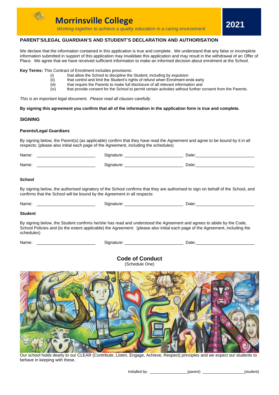

We declare that the information contained in this application is true and complete. We understand that any false or incomplete information submitted in support of this application may invalidate this application and may result in the withdrawal of an Offer of Place. We agree that we have received sufficient information to make an informed decision about enrolment at the School.

**Key Terms:** This Contract of Enrolment includes provisions:

- (i) that allow the School to discipline the Student, including by expulsion
- (ii) that control and limit the Student's rights of refund when Enrolment ends early<br>(iii) that require the Parents to make full disclosure of all relevant information and
- $\begin{equation} \widetilde{f}(\widetilde{f}) \text{ } & \text{that require the Parents to make full disclosure of all relevant information and} \\ \text{(iv)} & \text{that provide consent for the School to permit certain activities without further conditions.} \end{equation}$
- that provide consent for the School to permit certain activities without further consent from the Parents.

*This is an important legal document. Please read all clauses carefully.*

**By signing this agreement you confirm that all of the information in the application form is true and complete.**

### **SIGNING**

### **Parents/Legal Guardians**

By signing below, the Parent(s) (as applicable) confirm that they have read the Agreement and agree to be bound by it in all respects: (please also initial each page of the Agreement, including the schedules)

| Name.         | Date <sup>-</sup> |
|---------------|-------------------|
| Name.<br>____ | Date:             |

### **School**

By signing below, the authorised signatory of the School confirms that they are authorised to sign on behalf of the School, and confirms that the School will be bound by the Agreement in all respects:

| Nа | -<br>__ |
|----|---------|
|    |         |

### **Student**

By signing below, the Student confirms he/she has read and understood the Agreement and agrees to abide by the Code, School Policies and (to the extent applicable) the Agreement: (please also initial each page of the Agreement, including the schedules)

| Name: |  |
|-------|--|
|       |  |

| Name: | nature | Date.<br>--<br>___ |
|-------|--------|--------------------|
|       |        |                    |

**Code of Conduct** (Schedule One)



Our school holds dearly to our CLEAR (Contribute, Listen, Engage, Achieve, Respect) principles and we expect our students to behave in keeping with these.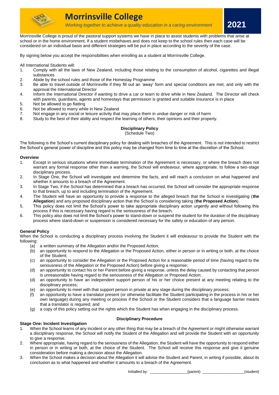

**2021**

Morrinsville College is proud of the pastoral support systems we have in place to assist students with problems that arise at school or in the home environment. If a student misbehaves and does not keep to the school rules then each case will be considered on an individual basis and different strategies will be put in place according to the severity of the case.

By signing below you accept the responsibilities when enrolling as a student at Morrinsville College.

- All International Students will:<br>1. Comply with all the lay 1. Comply with all the laws of New Zealand, including those relating to the consumption of alcohol, cigarettes and illegal substances
- 2. Abide by the school rules and those of the Homestay Programme
- 3. Be able to travel outside of Morrinsville if they fill out an 'away' form and special conditions are met, and only with the approval the International Director
- 4. Inform the International Director if wanting to drive a car or learn to drive while in New Zealand. The Director will check with parents, guardians, agents and homestays that permission is granted and suitable insurance is in place
- 5. Not be allowed to go flatting
- 6. Not be allowed to marry while in New Zealand
- 7. Not engage in any social or leisure activity that may place them in undue danger or risk of harm
- 8. Study to the best of their ability and respect the learning of others, their opinions and their property.

### **Disciplinary Policy**

(Schedule Two)

The following is the School's current disciplinary policy for dealing with breaches of the Agreement. This is not intended to restrict the School's general power of discipline and this policy may be changed from time to time at the discretion of the School.

#### **Overview**

- 1. Except in serious situations where immediate termination of the Agreement is necessary, or where the breach does not warrant any formal response other than a warning, the School will endeavour, where appropriate, to follow a two-stage disciplinary process.
- 2. In Stage One, the School will investigate and determine the facts, and will reach a conclusion on what happened and whether it amounts to a breach of the Agreement.
- 3. In Stage Two, if the School has determined that a breach has occurred, the School will consider the appropriate response to that breach, up to and including termination of the Agreement.
- 4. The Student will have an opportunity to provide a response to the alleged breach that the School is investigating (**the Allegation**) and any proposed disciplinary action that the School is considering taking (**the Proposed Action**).
- 5. This policy does not limit the School's power to take appropriate disciplinary action urgently and without following this process if this is necessary having regard to the seriousness of the breach.
- 6. This policy also does not limit the School's power to stand-down or suspend the student for the duration of the disciplinary process where stand-down or suspension is considered necessary for the safety or education of any person.

### **General Policy**

When the School is conducting a disciplinary process involving the Student it will endeavour to provide the Student with the following:

- (a) a written summary of the Allegation and/or the Proposed Action;
- (b) an opportunity to respond to the Allegation or the Proposed Action, either in person or in writing or both, at the choice of the Student;
- (c) an opportunity to consider the Allegation or the Proposed Action for a reasonable period of time (having regard to the seriousness of the Allegation or the Proposed Action) before giving a response;
- (d) an opportunity to contact his or her Parent before giving a response, unless the delay caused by contacting that person is unreasonable having regard to the seriousness of the Allegation or Proposed Action;
- (d) an opportunity to have an independent support person of his or her choice present at any meeting relating to the disciplinary process;
- (e) an opportunity to meet with that support person in private at any stage during the disciplinary process;
- an opportunity to have a translator present (or otherwise facilitate the Student participating in the process in his or her own language) during any meeting or process if the School or the Student considers that a language barrier means that a translator is required; and
- (g) a copy of this policy setting out the rights which the Student has when engaging in the disciplinary process.

#### **Disciplinary Procedure**

#### **Stage One: Incident Investigation**

- 1. When the School learns of any incident or any other thing that may be a breach of the Agreement or might otherwise warrant a disciplinary response, the School will notify the Student of the Allegation and will provide the Student with an opportunity to give a response.
- 2. Where appropriate, having regard to the seriousness of the Allegation, the Student will have the opportunity to respond either in person or in writing or both, at the choice of the Student. The School will receive this response and give it genuine consideration before making a decision about the Allegation.
- 3. When the School makes a decision about the Allegation it will advise the Student and Parent, in writing if possible, about its conclusion as to what happened and whether it amounts to a breach of the Agreement.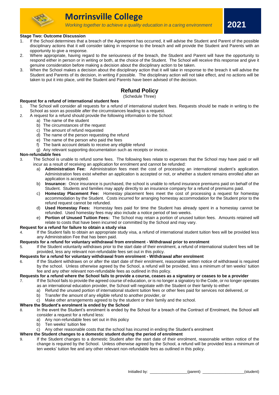

### **Stage Two: Outcome Discussion**

- 1. If the School determines that a breach of the Agreement has occurred, it will advise the Student and Parent of the possible disciplinary actions that it will consider taking in response to the breach and will provide the Student and Parents with an opportunity to give a response.
- 2. Where appropriate, having regard to the seriousness of the breach, the Student and Parent will have the opportunity to respond either in person or in writing or both, at the choice of the Student. The School will receive this response and give it genuine consideration before making a decision about the disciplinary action to be taken.
- 3. When the School makes a decision about the disciplinary action that it will take in response to the breach it will advise the Student and Parents of its decision, in writing if possible. The disciplinary action will not take effect, and no actions will be taken to put it into place, until the Student and Parents have been advised of the decision.

### **Refund Policy**

### (Schedule Three)

### **Request for a refund of international student fees**

- 1. The School will consider all requests for a refund of international student fees. Requests should be made in writing to the School as soon as possible after the circumstances leading to a request.
- 2. A request for a refund should provide the following information to the School:
	- a) The name of the student
		- b) The circumstances of the request
		- c) The amount of refund requested
		- d) The name of the person requesting the refund
		- e) The name of the person who paid the fees
		- f) The bank account details to receive any eligible refund
		- g) Any relevant supporting documentation such as receipts or invoice.

### **Non-refundable fees**

- 3. The School is unable to refund some fees. The following fees relate to expenses that the School may have paid or will incur as a result of receiving an application for enrolment and cannot be refunded:
	- a) **Administration Fee:** Administration fees meet the cost of processing an international student's application. Administration fees exist whether an application is accepted or not, or whether a student remains enrolled after an application is accepted.
	- b) **Insurance:** Once insurance is purchased, the school is unable to refund insurance premiums paid on behalf of the Student. Students and families may apply directly to an insurance company for a refund of premiums paid.
	- c) **Homestay Placement Fee:** Homestay placement fees meet the cost of processing a request for homestay accommodation by the Student. Costs incurred for arranging homestay accommodation for the Student prior to the refund request cannot be refunded.
	- d) **Used Homestay Fees:** Homestay fees paid for time the Student has already spent in a homestay cannot be refunded. Used homestay fees may also include a notice period of two weeks.
	- e) **Portion of Unused Tuition Fees:** The School may retain a portion of unused tuition fees. Amounts retained will relate to costs that have been incurred or committed by the School and may vary.

#### **Request for a refund for failure to obtain a study visa**

4. If the Student fails to obtain an appropriate study visa, a refund of international student tuition fees will be provided less any Administration Fee that has been paid.

#### **Requests for a refund for voluntary withdrawal from enrolment - Withdrawal prior to enrolment**

If the Student voluntarily withdraws prior to the start date of their enrolment, a refund of international student fees will be provided, less any relevant non-refundable fees set out in this policy.

#### **Requests for a refund for voluntary withdrawal from enrolment - Withdrawal after enrolment**

6. If the Student withdraws on or after the start date of their enrolment, reasonable written notice of withdrawal is required by the school. Unless otherwise agreed by the School, a refund will be provided, less a minimum of ten weeks' tuition fee and any other relevant non-refundable fees as outlined in this policy.

**Requests for a refund where the School fails to provide a course, ceases as a signatory or ceases to be a provider**

- 7. If the School fails to provide the agreed course of education, or is no longer a signatory to the Code, or no longer operates as an international education provider, the School will negotiate with the Student or their family to either:
	- a) Refund the unused portion of international student tuition fees or other fees paid for services not delivered, or
	- b) Transfer the amount of any eligible refund to another provider, or
	- c) Make other arrangements agreed to by the student or their family and the school.

### **Where the Student's enrolment is ended by the School**

8. In the event the Student's enrolment is ended by the School for a breach of the Contract of Enrolment, the School will consider a request for a refund less:

- a) Any non-refundable fees set out in this policy
- b) Ten weeks' tuition fee
- c) Any other reasonable costs that the school has incurred in ending the Student's enrolment

#### **Where the Student changes to a domestic student during the period of enrolment**

9. If the Student changes to a domestic Student after the start date of their enrolment, reasonable written notice of the change is required by the School. Unless otherwise agreed by the School, a refund will be provided less a minimum of ten weeks' tuition fee and any other relevant non-refundable fees as outlined in this policy.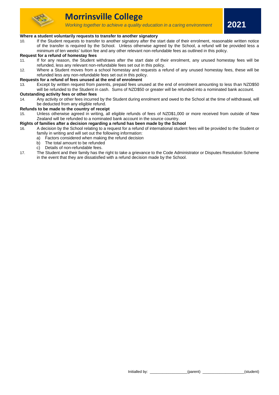

**2021**

#### **Where a student voluntarily requests to transfer to another signatory**

10. If the Student requests to transfer to another signatory after the start date of their enrolment, reasonable written notice of the transfer is required by the School. Unless otherwise agreed by the School, a refund will be provided less a minimum of ten weeks' tuition fee and any other relevant non-refundable fees as outlined in this policy.

### **Request for a refund of homestay fees**

- 11. If for any reason, the Student withdraws after the start date of their enrolment, any unused homestay fees will be refunded, less any relevant non-refundable fees set out in this policy.
- 12. Where a Student moves from a school homestay and requests a refund of any unused homestay fees, these will be refunded less any non-refundable fees set out in this policy.

#### **Requests for a refund of fees unused at the end of enrolment**

13. Except by written request from parents, prepaid fees unused at the end of enrolment amounting to less than NZD\$50 will be refunded to the Student in cash. Sums of NZD\$50 or greater will be refunded into a nominated bank account.

#### **Outstanding activity fees or other fees**

14. Any activity or other fees incurred by the Student during enrolment and owed to the School at the time of withdrawal, will be deducted from any eligible refund.

#### **Refunds to be made to the country of receipt**

15. Unless otherwise agreed in writing, all eligible refunds of fees of NZD\$1,000 or more received from outside of New Zealand will be refunded to a nominated bank account in the source country.

#### **Rights of families after a decision regarding a refund has been made by the School**

- 16. A decision by the School relating to a request for a refund of international student fees will be provided to the Student or family in writing and will set out the following information:
	- a) Factors considered when making the refund decision
	- b) The total amount to be refunded
	- c) Details of non-refundable fees.
- 17. The Student and their family has the right to take a grievance to the Code Administrator or Disputes Resolution Scheme in the event that they are dissatisfied with a refund decision made by the School.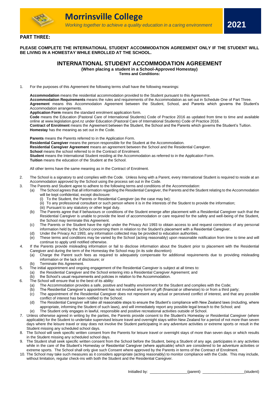

### **PART THREE:**

### **PLEASE COMPLETE THE INTERNATIONAL STUDENT ACCOMMODATION AGREEMENT ONLY IF THE STUDENT WILL BE LIVING IN A HOMESTAY WHILE ENROLLED AT THE SCHOOL.**

### **INTERNATIONAL STUDENT ACCOMMODATION AGREEMENT**

**(When placing a student in a School-Approved Homestay)**

**Terms and Conditions:**

1. For the purposes of this Agreement the following terms shall have the following meanings:

**Accommodation** means the residential accommodation provided to the Student pursuant to this Agreement. **Accommodation Requirements** means the rules and requirements of the Accommodation as set out in Schedule One of Part Three. **Agreement** means this Accommodation Agreement between the Student, School, and Parents which governs the Student's Accommodation arrangements.

**Application Form** means the standard enrolment application form.

**Code** means the Education (Pastoral Care of International Students) Code of Practice 2016 as updated from time to time and available online at www.legislation.govt.nz under Education (Pastoral Care of International Students) Code of Practice 2016.

**Contract of Enrolment** means the Agreement between the Student, the School and the Parents which governs the Student's Tuition. **Homestay** has the meaning as set out in the Code.

**Parents** means the Parents referred to in the Application Form.

**Residential Caregiver** means the person responsible for the Student at the Accommodation.

**Residential Caregiver Agreement** means an agreement between the School and the Residential Caregiver.

**School means the school referred to in the Contract of Enrolment.** 

**Student** means the International Student residing at the Accommodation as referred to in the Application Form.

**Tuition** means the education of the Student at the School.

All other terms have the same meaning as in the Contract of Enrolment.

- 2. The School is a signatory to and complies with the Code. Unless living with a Parent, every International Student is required to reside at an Accommodation approved by the School using the process set out in the Code.
- 3. The Parents and Student agree to adhere to the following terms and conditions of the Accommodation:
	- (a) The School agrees that all information regarding the Residential Caregiver, the Parents and the Student relating to the Accommodation will be kept confidential, except disclosure:
		- (i) To the Student, the Parents or Residential Caregiver (as the case may be);
		- (ii) To any professional consultant or such person where it is in the interests of the Student to provide the information;
		- (iii) Pursuant to any statutory or other legal duty.
	- (b) The Parents agree that if behaviours or conditions of the Student emerge after placement with a Residential Caregiver such that the Residential Caregiver is unable to provide the level of accommodation or care required for the safety and well-being of the Student. the School may terminate this Agreement.
	- (c) The Parents or the Student have the right under the Privacy Act 1993 to obtain access to and request corrections of any personal information held by the School concerning them in relation to the Student's placement with a Residential Caregiver.
	- (d) Under the Privacy Act 1993, any information collected may be provided to education authorities.
	- (e) These terms and conditions may be varied by the School (acting reasonably) upon reasonable notification from time to time and will continue to apply until notified otherwise.
- 4. If the Parents provide misleading information or fail to disclose information about the Student prior to placement with the Residential Caregiver and during the term of the Homestay the School may (in its sole discretion):
	- (a) Charge the Parent such fees as required to adequately compensate for additional requirements due to providing misleading information or the lack of disclosure; or
	- (b) Terminate this Agreement.
- 5. The initial appointment and ongoing engagement of the Residential Caregiver is subject at all times to:
	- (a) the Residential Caregiver and the School entering into a Residential Caregiver Agreement; and
	- (b) the School's usual requirements and policies in relation to the Accommodation.
- 6. The School will ensure that to the best of its ability:
	- (a) The Accommodation provides a safe, positive and healthy environment for the Student and complies with the Code;
	- (b) The Residential Caregiver's appointment has not involved any form of gift (financial or otherwise) to or from a third party;
	- (c) The appointment of the Residential Caregiver does not represent any actual or perceived conflict of interest, and that any possible conflict of interest has been notified to the School;
	- (d) The Residential Caregiver will take all reasonable steps to ensure the Student's compliance with New Zealand laws (including, where appropriate, informing the Student of such laws), and will immediately report any possible legal breach to the School; and
	- (e) The Student only engages in lawful, responsible and positive recreational activities outside of School.
- 7. Unless otherwise agreed in writing by the parties, the Parents provide consent to the Student's Homestay or Residential Caregiver (where applicable) for the Student to undertake supervised leisure travel and overnight stays within New Zealand for a period of not more than seven days where the leisure travel or stay does not involve the Student participating in any adventure activities or extreme sports or result in the Student missing any scheduled school days.
- 8. The School will seek specific written consent from the Parents for leisure travel or overnight stays of more than seven days or which results in the Student missing any scheduled school days.
- 9. The Student shall seek specific written consent from the School before the Student, being a Student of any age, participates in any activities while in the care of the Student's Homestay or Residential Caregiver (where applicable) which are considered to be adventure activities or extreme sports. The School shall only give such Consent where approved by the Parents in terms of the Contract of Enrolment.
- 10. The School may take such measures as it considers appropriate (acting reasonably) to monitor compliance with the Code. This may include, without limitation, regular check-ins with both the Student and the Residential Caregiver.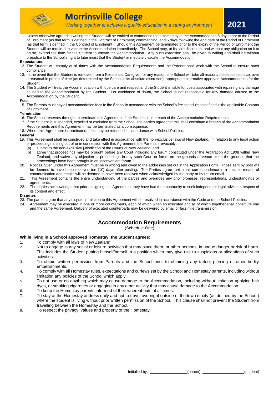

**2021**

11. Unless otherwise agreed in writing, the Student will be entitled to commence their Homestay at the Accommodation 5 days prior to the Period of Enrolment (as that term is defined in the Contract of Enrolment) commencing, and 5 days following the end date of the Period of Enrolment (as that term is defined in the Contract of Enrolment). Should this Agreement be terminated prior to the expiry of the Period of Enrolment the Student will be required to vacate the Accommodation immediately. The School may, at its sole discretion, and without any obligation on it to do so, extend the time for the Student to vacate the Accommodation. Any such extension shall be given in writing and shall be without prejudice to the School's right to later insist that the Student immediately vacate the Accommodation.

#### **Expectations**

- 12. The Student will comply at all times with the Accommodation Requirements and the Parents shall work with the School to ensure such compliance.
- 13. In the event that the Student is removed from a Residential Caregiver for any reason, the School will take all reasonable steps to source, over a reasonable period of time (as determined by the School in its absolute discretion), appropriate alternative approved Accommodation for the Student.
- 14. The Student will treat the Accommodation with due care and respect and the Student is liable for costs associated with repairing any damage caused to the Accommodation by the Student. For avoidance of doubt, the School is not responsible for any damage caused to the Accommodation by the Student.

#### **Fees**

15. The Parents must pay all accommodation fees to the School in accordance with the School's fee schedule as defined in the applicable Contract of Enrolment.

#### **Termination**

- 16. The School reserves the right to terminate this Agreement if the Student is in breach of the Accommodation Requirements.
- 17. If the Student is suspended, expelled or excluded from the School, the parties agree that this shall constitute a breach of the Accommodation Requirements and this Agreement may be terminated as a consequence.
- 18. Where this Agreement is terminated, fees may be refunded in accordance with School Policies.

#### **General**

- 19. This Agreement shall be construed and take effect in accordance with the non-exclusive laws of New Zealand. In relation to any legal action or proceedings arising out of or in connection with this Agreement, the Parents irrevocably:
	- (a) submit to the non-exclusive jurisdiction of the Courts of New Zealand; and
	- (b) agree that proceedings may be brought before any Court including any forum constituted under the Arbitration Act 1908 within New Zealand, and waive any objection to proceedings in any such Court or forum on the grounds of venue or on the grounds that the proceedings have been brought in an inconvenient forum.
- 20. Notices given under this Agreement must be in writing and given to the addresses set out in the Application Form. Those sent by post will be deemed to have been received ten (10) days after posting. The Parties agree that email correspondence is a suitable means of communication and emails will be deemed to have been received when acknowledged by the party or by return email.
- 21. This Agreement contains the entire understanding of the parties and overrides any prior promises, representations, understandings or agreements.
- 22. The parties acknowledge that prior to signing this Agreement, they have had the opportunity to seek independent legal advice in respect of its content and effect.

#### **Disputes**

- 23. The parties agree that any dispute in relation to this Agreement will be resolved in accordance with the Code and the School Policies.<br>24. Agreement may be executed in one or more counterparts, each of which when so ex
- Agreement may be executed in one or more counterparts, each of which when so executed and all of which together shall constitute one and the same Agreement. Delivery of executed counterparts may be delivered by email or facsimile transmission

### **Accommodation Requirements**

(Schedule One)

#### **While living in a School approved Homestay, the Student agrees:**

- 1. To comply with all laws of New Zealand.
- 2. Not to engage in any social or leisure activities that may place them, or other persons, in undue danger or risk of harm. This includes the Student putting himself/herself in a position which may give rise to suspicions or allegations of such activities.
- 3. To obtain written permission from Parents and the School prior to obtaining any tattoo, piercing or other bodily embellishments.
- 4. To comply with all Homestay rules, expectations and curfews set by the School and Homestay parents, including without limitation any policies of the School which apply.
- 5. To not use or do anything which may cause damage to the Accommodation, including without limitation applying hair dyes, or smoking cigarettes or engaging in any other activity that may cause damage to the Accommodation.
- 6. To keep the Homestay parents informed of their whereabouts at all times.
- 7. To stay at the Homestay address daily and not to travel overnight outside of the town or city (as defined by the School) where the student is living without prior written permission of the School. This clause shall not prevent the Student from travelling between the Homestay and the School.
- 8. To respect the privacy, values and property of the Homestay.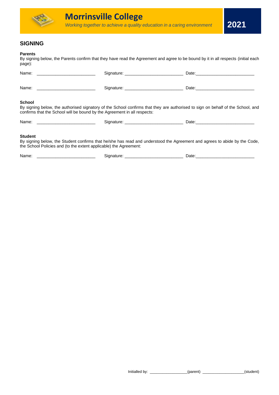

### **SIGNING**

### **Parents**

By signing below, the Parents confirm that they have read the Agreement and agree to be bound by it in all respects (initial each page):

|                                                                                                                                                                                                                              |            | Date: 2000 2000 2010 2020 2020 2020 2021 2021 2022 2021 2022 2021 2022 2022 2022 2021 2021 2022 2022 2022 2021 |  |  |
|------------------------------------------------------------------------------------------------------------------------------------------------------------------------------------------------------------------------------|------------|----------------------------------------------------------------------------------------------------------------|--|--|
| <b>School</b><br>By signing below, the authorised signatory of the School confirms that they are authorised to sign on behalf of the School, and<br>confirms that the School will be bound by the Agreement in all respects: |            |                                                                                                                |  |  |
|                                                                                                                                                                                                                              | Signature: |                                                                                                                |  |  |

#### **Student**

By signing below, the Student confirms that he/she has read and understood the Agreement and agrees to abide by the Code, the School Policies and (to the extent applicable) the Agreement:

Name: \_\_\_\_\_\_\_\_\_\_\_\_\_\_\_\_\_\_\_\_\_\_\_\_\_ Signature: \_\_\_\_\_\_\_\_\_\_\_\_\_\_\_\_\_\_\_\_\_\_\_\_\_ Date:\_\_\_\_\_\_\_\_\_\_\_\_\_\_\_\_\_\_\_\_\_\_\_\_\_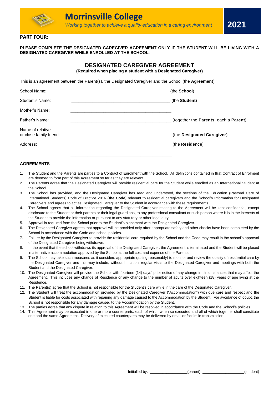

### **PART FOUR:**

**PLEASE COMPLETE THE DESIGNATED CAREGIVER AGREEMENT ONLY IF THE STUDENT WILL BE LIVING WITH A DESIGNATED CAREGIVER WHILE ENROLLED AT THE SCHOOL.**

### **DESIGNATED CAREGIVER AGREEMENT (Required when placing a student with a Designated Caregiver)**

This is an agreement between the Parent(s), the Designated Caregiver and the School (the **Agreement**).

| School Name:                                | (the School)                          |
|---------------------------------------------|---------------------------------------|
| Student's Name:                             | (the Student)                         |
| Mother's Name:                              |                                       |
| Father's Name:                              | (together the Parents, each a Parent) |
| Name of relative<br>or close family friend: | (the Designated Caregiver)            |
| Address:                                    | (the Residence)                       |
|                                             |                                       |

### **AGREEMENTS**

- 1. The Student and the Parents are parties to a Contract of Enrolment with the School. All definitions contained in that Contract of Enrolment are deemed to form part of this Agreement so far as they are relevant.
- 2. The Parents agree that the Designated Caregiver will provide residential care for the Student while enrolled as an International Student at the School.
- 3. The School has provided, and the Designated Caregiver has read and understood, the sections of the Education (Pastoral Care of International Students) Code of Practice 2016 (**the Code**) relevant to residential caregivers and the School's Information for Designated Caregivers and agrees to act as Designated Caregiver to the Student in accordance with these requirements.
- 4. The School agrees that all information regarding the Designated Caregiver relating to the Agreement will be kept confidential, except disclosure to the Student or their parents or their legal guardians, to any professional consultant or such person where it is in the interests of the Student to provide the information or pursuant to any statutory or other legal duty.
- 5. Approval is required from the School prior to the Student's placement with the Designated Caregiver.
- 6. The Designated Caregiver agrees that approval will be provided only after appropriate safety and other checks have been completed by the School in accordance with the Code and school policies.
- 7. Failure by the Designated Caregiver to provide the residential care required by the School and the Code may result in the school's approval of the Designated Caregiver being withdrawn.
- 8. In the event that the school withdraws its approval of the Designated Caregiver, the Agreement is terminated and the Student will be placed in alternative accommodation approved by the School at the full cost and expense of the Parents.
- 9. The School may take such measures as it considers appropriate (acting reasonably) to monitor and review the quality of residential care by the Designated Caregiver and this may include, without limitation, regular visits to the Designated Caregiver and meetings with both the Student and the Designated Caregiver.
- 10. The Designated Caregiver will provide the School with fourteen (14) days' prior notice of any change in circumstances that may affect the Agreement. This includes any change of Residence or any change to the number of adults over eighteen (18) years of age living at the Residence.
- 11. The Parent(s) agree that the School is not responsible for the Student's care while in the care of the Designated Caregiver.
- 12. The Student will treat the accommodation provided by the Designated Caregiver ("Accommodation") with due care and respect and the Student is liable for costs associated with repairing any damage caused to the Accommodation by the Student. For avoidance of doubt, the School is not responsible for any damage caused to the Accommodation by the Student.
- 13. The parties agree that any dispute in relation to this Agreement will be resolved in accordance with the Code and the School's policies.
- 14. This Agreement may be executed in one or more counterparts, each of which when so executed and all of which together shall constitute one and the same Agreement. Delivery of executed counterparts may be delivered by email or facsimile transmission.